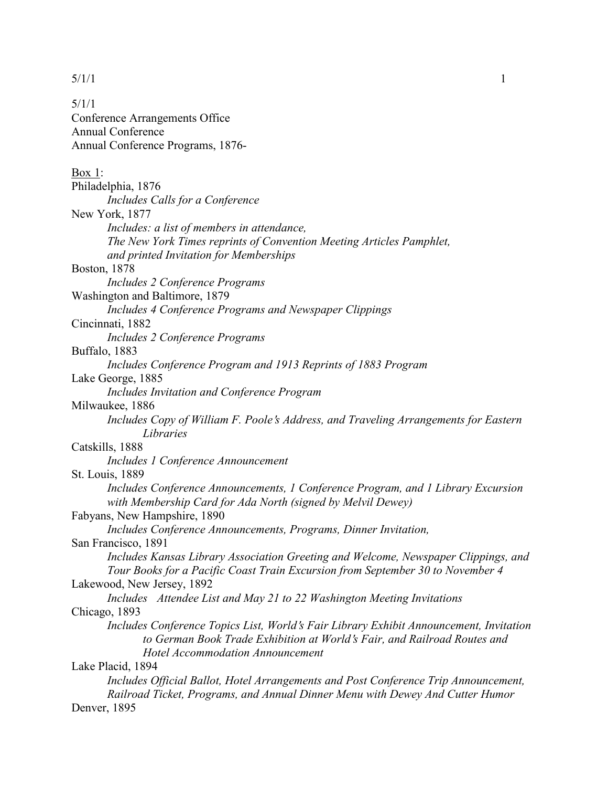5/1/1 Conference Arrangements Office Annual Conference Annual Conference Programs, 1876-

| Box 1:                                                                                 |
|----------------------------------------------------------------------------------------|
| Philadelphia, 1876                                                                     |
| Includes Calls for a Conference                                                        |
| New York, 1877                                                                         |
| Includes: a list of members in attendance,                                             |
| The New York Times reprints of Convention Meeting Articles Pamphlet,                   |
| and printed Invitation for Memberships                                                 |
| <b>Boston</b> , 1878                                                                   |
| Includes 2 Conference Programs                                                         |
| Washington and Baltimore, 1879                                                         |
| Includes 4 Conference Programs and Newspaper Clippings                                 |
| Cincinnati, 1882                                                                       |
| Includes 2 Conference Programs                                                         |
| Buffalo, 1883                                                                          |
| Includes Conference Program and 1913 Reprints of 1883 Program                          |
| Lake George, 1885                                                                      |
| Includes Invitation and Conference Program                                             |
| Milwaukee, 1886                                                                        |
| Includes Copy of William F. Poole's Address, and Traveling Arrangements for Eastern    |
| Libraries                                                                              |
| Catskills, 1888                                                                        |
| Includes 1 Conference Announcement                                                     |
| <b>St. Louis, 1889</b>                                                                 |
| Includes Conference Announcements, 1 Conference Program, and 1 Library Excursion       |
| with Membership Card for Ada North (signed by Melvil Dewey)                            |
| Fabyans, New Hampshire, 1890                                                           |
| Includes Conference Announcements, Programs, Dinner Invitation,                        |
| San Francisco, 1891                                                                    |
| Includes Kansas Library Association Greeting and Welcome, Newspaper Clippings, and     |
| Tour Books for a Pacific Coast Train Excursion from September 30 to November 4         |
| Lakewood, New Jersey, 1892                                                             |
| Includes Attendee List and May 21 to 22 Washington Meeting Invitations                 |
| Chicago, 1893                                                                          |
| Includes Conference Topics List, World's Fair Library Exhibit Announcement, Invitation |
| to German Book Trade Exhibition at World's Fair, and Railroad Routes and               |
| Hotel Accommodation Announcement                                                       |
| Lake Placid, 1894                                                                      |
| Includes Official Ballot, Hotel Arrangements and Post Conference Trip Announcement,    |
| Railroad Ticket, Programs, and Annual Dinner Menu with Dewey And Cutter Humor          |
| Denver, 1895                                                                           |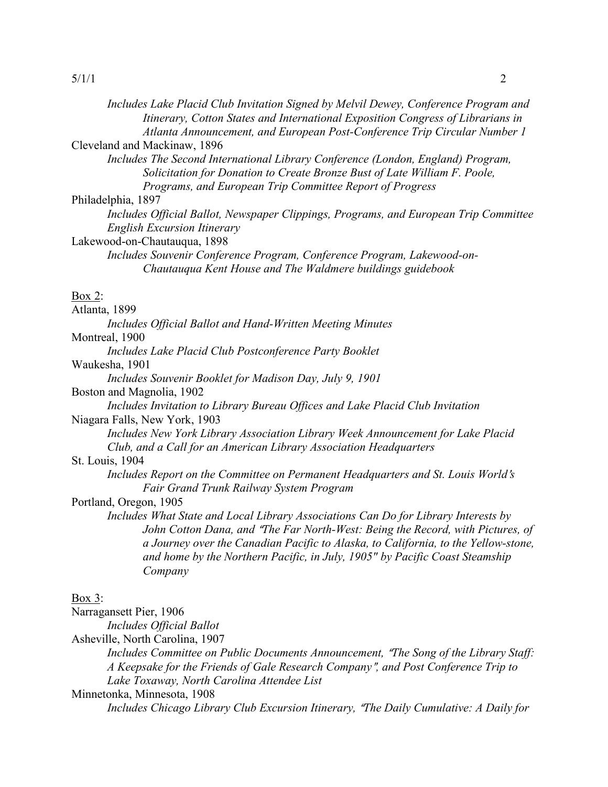| Includes Lake Placid Club Invitation Signed by Melvil Dewey, Conference Program and<br>Itinerary, Cotton States and International Exposition Congress of Librarians in<br>Atlanta Announcement, and European Post-Conference Trip Circular Number 1<br>Cleveland and Mackinaw, 1896<br>Includes The Second International Library Conference (London, England) Program, |
|------------------------------------------------------------------------------------------------------------------------------------------------------------------------------------------------------------------------------------------------------------------------------------------------------------------------------------------------------------------------|
| Solicitation for Donation to Create Bronze Bust of Late William F. Poole,<br>Programs, and European Trip Committee Report of Progress                                                                                                                                                                                                                                  |
| Philadelphia, 1897                                                                                                                                                                                                                                                                                                                                                     |
| Includes Official Ballot, Newspaper Clippings, Programs, and European Trip Committee<br><b>English Excursion Itinerary</b>                                                                                                                                                                                                                                             |
| Lakewood-on-Chautauqua, 1898                                                                                                                                                                                                                                                                                                                                           |
| Includes Souvenir Conference Program, Conference Program, Lakewood-on-<br>Chautauqua Kent House and The Waldmere buildings guidebook                                                                                                                                                                                                                                   |
| <b>Box 2:</b>                                                                                                                                                                                                                                                                                                                                                          |
| Atlanta, 1899                                                                                                                                                                                                                                                                                                                                                          |
| Includes Official Ballot and Hand-Written Meeting Minutes                                                                                                                                                                                                                                                                                                              |
| Montreal, 1900                                                                                                                                                                                                                                                                                                                                                         |
| Includes Lake Placid Club Postconference Party Booklet                                                                                                                                                                                                                                                                                                                 |
| Waukesha, 1901                                                                                                                                                                                                                                                                                                                                                         |
| Includes Souvenir Booklet for Madison Day, July 9, 1901                                                                                                                                                                                                                                                                                                                |
| Boston and Magnolia, 1902                                                                                                                                                                                                                                                                                                                                              |
| Includes Invitation to Library Bureau Offices and Lake Placid Club Invitation                                                                                                                                                                                                                                                                                          |
| Niagara Falls, New York, 1903                                                                                                                                                                                                                                                                                                                                          |
| Includes New York Library Association Library Week Announcement for Lake Placid<br>Club, and a Call for an American Library Association Headquarters                                                                                                                                                                                                                   |
| St. Louis, 1904                                                                                                                                                                                                                                                                                                                                                        |
| Includes Report on the Committee on Permanent Headquarters and St. Louis World's<br>Fair Grand Trunk Railway System Program                                                                                                                                                                                                                                            |
| Portland, Oregon, 1905                                                                                                                                                                                                                                                                                                                                                 |
| Includes What State and Local Library Associations Can Do for Library Interests by                                                                                                                                                                                                                                                                                     |
| John Cotton Dana, and "The Far North-West: Being the Record, with Pictures, of<br>a Journey over the Canadian Pacific to Alaska, to California, to the Yellow-stone,                                                                                                                                                                                                   |
| and home by the Northern Pacific, in July, 1905" by Pacific Coast Steamship<br>Company                                                                                                                                                                                                                                                                                 |
|                                                                                                                                                                                                                                                                                                                                                                        |

# Box 3:

Narragansett Pier, 1906

*Includes Official Ballot*

Asheville, North Carolina, 1907

*Includes Committee on Public Documents Announcement, "The Song of the Library Staff: A Keepsake for the Friends of Gale Research Company*@*, and Post Conference Trip to Lake Toxaway, North Carolina Attendee List*

Minnetonka, Minnesota, 1908

*Includes Chicago Library Club Excursion Itinerary, "The Daily Cumulative: A Daily for*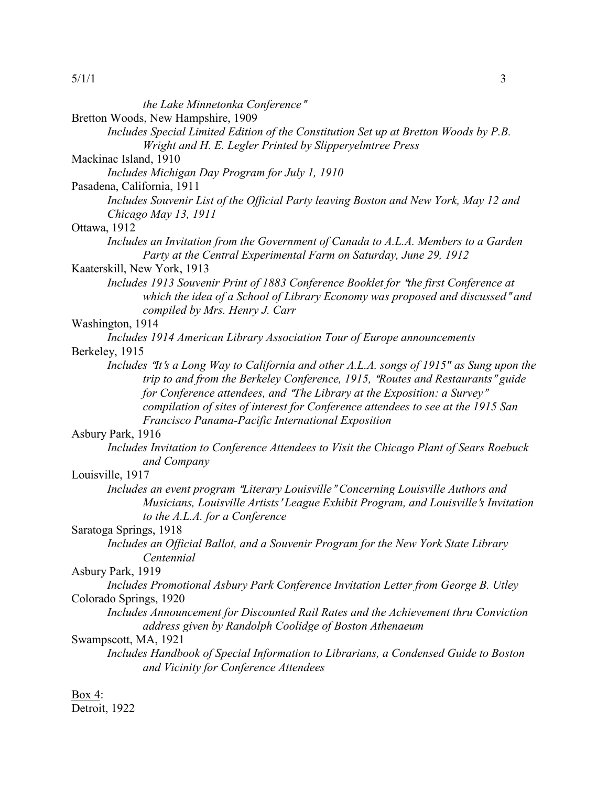| 5/1/1                                                                                                                                                                      | 3 |
|----------------------------------------------------------------------------------------------------------------------------------------------------------------------------|---|
| the Lake Minnetonka Conference"                                                                                                                                            |   |
| Bretton Woods, New Hampshire, 1909                                                                                                                                         |   |
| Includes Special Limited Edition of the Constitution Set up at Bretton Woods by P.B.                                                                                       |   |
| Wright and H. E. Legler Printed by Slipperyelmtree Press                                                                                                                   |   |
| Mackinac Island, 1910                                                                                                                                                      |   |
| Includes Michigan Day Program for July 1, 1910                                                                                                                             |   |
| Pasadena, California, 1911                                                                                                                                                 |   |
| Includes Souvenir List of the Official Party leaving Boston and New York, May 12 and                                                                                       |   |
| Chicago May 13, 1911                                                                                                                                                       |   |
| Ottawa, 1912                                                                                                                                                               |   |
| Includes an Invitation from the Government of Canada to A.L.A. Members to a Garden                                                                                         |   |
| Party at the Central Experimental Farm on Saturday, June 29, 1912                                                                                                          |   |
| Kaaterskill, New York, 1913                                                                                                                                                |   |
| Includes 1913 Souvenir Print of 1883 Conference Booklet for "the first Conference at                                                                                       |   |
| which the idea of a School of Library Economy was proposed and discussed" and                                                                                              |   |
| compiled by Mrs. Henry J. Carr                                                                                                                                             |   |
| Washington, 1914                                                                                                                                                           |   |
| Includes 1914 American Library Association Tour of Europe announcements                                                                                                    |   |
| Berkeley, 1915                                                                                                                                                             |   |
| Includes "It's a Long Way to California and other A.L.A. songs of 1915" as Sung upon the<br>trip to and from the Berkeley Conference, 1915, "Routes and Restaurants" guide |   |
| for Conference attendees, and "The Library at the Exposition: a Survey"                                                                                                    |   |
| compilation of sites of interest for Conference attendees to see at the 1915 San                                                                                           |   |
| Francisco Panama-Pacific International Exposition                                                                                                                          |   |
| Asbury Park, 1916                                                                                                                                                          |   |
| Includes Invitation to Conference Attendees to Visit the Chicago Plant of Sears Roebuck                                                                                    |   |
| and Company                                                                                                                                                                |   |
| Louisville, 1917                                                                                                                                                           |   |
| Includes an event program "Literary Louisville" Concerning Louisville Authors and                                                                                          |   |
| Musicians, Louisville Artists' League Exhibit Program, and Louisville's Invitation                                                                                         |   |
| to the A.L.A. for a Conference                                                                                                                                             |   |
| Saratoga Springs, 1918                                                                                                                                                     |   |
| Includes an Official Ballot, and a Souvenir Program for the New York State Library                                                                                         |   |
| Centennial                                                                                                                                                                 |   |
| Asbury Park, 1919                                                                                                                                                          |   |
| Includes Promotional Asbury Park Conference Invitation Letter from George B. Utley                                                                                         |   |
| Colorado Springs, 1920<br>Includes Announcement for Discounted Rail Rates and the Achievement thru Conviction                                                              |   |
| address given by Randolph Coolidge of Boston Athenaeum                                                                                                                     |   |
| Swampscott, MA, 1921                                                                                                                                                       |   |
| Includes Handbook of Special Information to Librarians, a Condensed Guide to Boston                                                                                        |   |
| and Vicinity for Conference Attendees                                                                                                                                      |   |
|                                                                                                                                                                            |   |

Box 4:

Detroit, 1922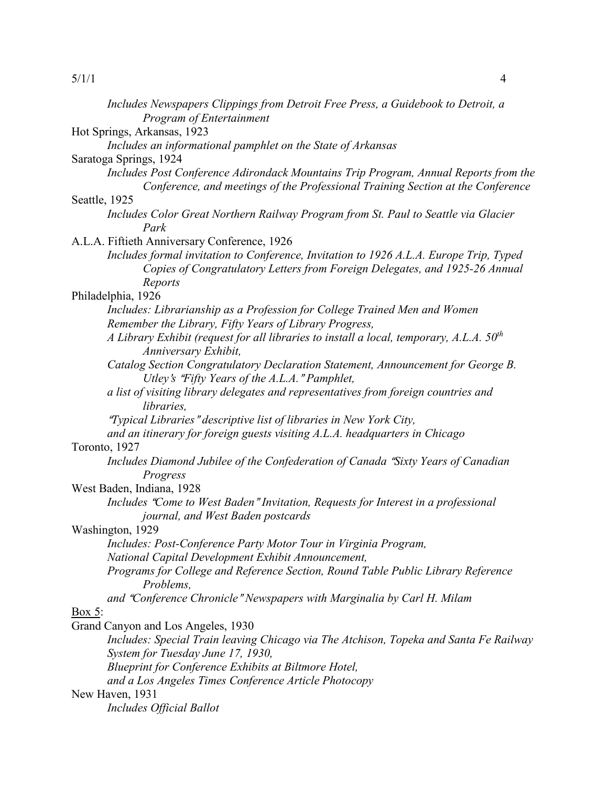| Includes Newspapers Clippings from Detroit Free Press, a Guidebook to Detroit, a<br>Program of Entertainment                                                           |
|------------------------------------------------------------------------------------------------------------------------------------------------------------------------|
| Hot Springs, Arkansas, 1923                                                                                                                                            |
| Includes an informational pamphlet on the State of Arkansas                                                                                                            |
| Saratoga Springs, 1924                                                                                                                                                 |
| Includes Post Conference Adirondack Mountains Trip Program, Annual Reports from the<br>Conference, and meetings of the Professional Training Section at the Conference |
| Seattle, 1925                                                                                                                                                          |
| Includes Color Great Northern Railway Program from St. Paul to Seattle via Glacier                                                                                     |
| Park                                                                                                                                                                   |
| A.L.A. Fiftieth Anniversary Conference, 1926                                                                                                                           |
| Includes formal invitation to Conference, Invitation to 1926 A.L.A. Europe Trip, Typed                                                                                 |
| Copies of Congratulatory Letters from Foreign Delegates, and 1925-26 Annual<br>Reports                                                                                 |
| Philadelphia, 1926                                                                                                                                                     |
| Includes: Librarianship as a Profession for College Trained Men and Women                                                                                              |
| Remember the Library, Fifty Years of Library Progress,                                                                                                                 |
| A Library Exhibit (request for all libraries to install a local, temporary, A.L.A. $50^{th}$<br>Anniversary Exhibit,                                                   |
| Catalog Section Congratulatory Declaration Statement, Announcement for George B.                                                                                       |
| Utley's "Fifty Years of the A.L.A." Pamphlet,                                                                                                                          |
| a list of visiting library delegates and representatives from foreign countries and<br>libraries,                                                                      |
| "Typical Libraries" descriptive list of libraries in New York City,                                                                                                    |
| and an itinerary for foreign guests visiting A.L.A. headquarters in Chicago                                                                                            |
| Toronto, 1927                                                                                                                                                          |
| Includes Diamond Jubilee of the Confederation of Canada "Sixty Years of Canadian"<br>Progress                                                                          |
| West Baden, Indiana, 1928                                                                                                                                              |
| Includes "Come to West Baden" Invitation, Requests for Interest in a professional                                                                                      |
| journal, and West Baden postcards<br>Washington, 1929                                                                                                                  |
| Includes: Post-Conference Party Motor Tour in Virginia Program,                                                                                                        |
| National Capital Development Exhibit Announcement,                                                                                                                     |
| Programs for College and Reference Section, Round Table Public Library Reference                                                                                       |
| Problems,                                                                                                                                                              |
| and "Conference Chronicle" Newspapers with Marginalia by Carl H. Milam                                                                                                 |
| <u>Box 5:</u>                                                                                                                                                          |
| Grand Canyon and Los Angeles, 1930                                                                                                                                     |
| Includes: Special Train leaving Chicago via The Atchison, Topeka and Santa Fe Railway                                                                                  |
| System for Tuesday June 17, 1930,                                                                                                                                      |
| Blueprint for Conference Exhibits at Biltmore Hotel,                                                                                                                   |
| and a Los Angeles Times Conference Article Photocopy                                                                                                                   |
| New Haven, 1931                                                                                                                                                        |
| Includes Official Ballot                                                                                                                                               |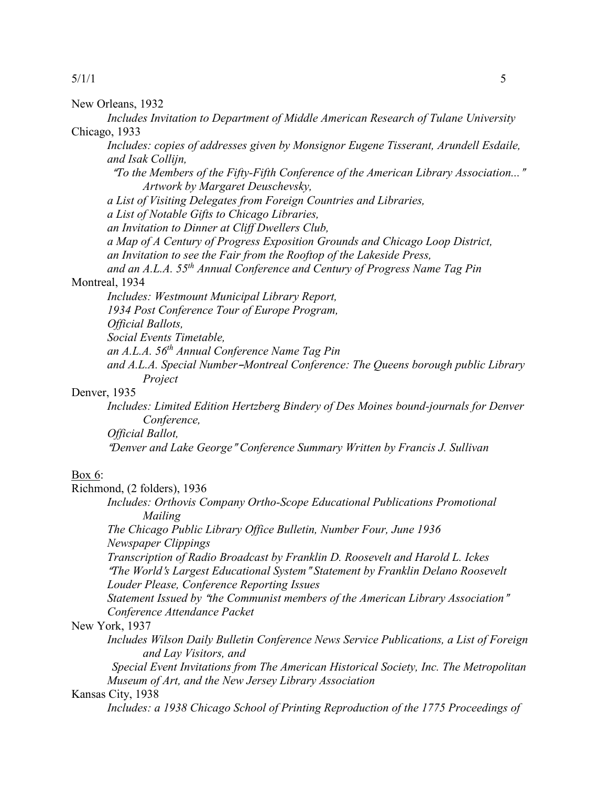New Orleans, 1932

*Includes Invitation to Department of Middle American Research of Tulane University* Chicago, 1933

*Includes: copies of addresses given by Monsignor Eugene Tisserant, Arundell Esdaile, and Isak Collijn,*

<sup>A</sup>*To the Members of the Fifty-Fifth Conference of the American Library Association...*@ *Artwork by Margaret Deuschevsky,*

*a List of Visiting Delegates from Foreign Countries and Libraries,*

*a List of Notable Gifts to Chicago Libraries,*

*an Invitation to Dinner at Cliff Dwellers Club,*

*a Map of A Century of Progress Exposition Grounds and Chicago Loop District,*

*an Invitation to see the Fair from the Rooftop of the Lakeside Press,*

*and an A.L.A. 55th Annual Conference and Century of Progress Name Tag Pin*

# Montreal, 1934

*Includes: Westmount Municipal Library Report,*

*1934 Post Conference Tour of Europe Program,*

*Official Ballots,*

*Social Events Timetable,*

*an A.L.A. 56th Annual Conference Name Tag Pin*

and A.L.A. Special Number-Montreal Conference: The Queens borough public Library *Project*

# Denver, 1935

*Includes: Limited Edition Hertzberg Bindery of Des Moines bound-journals for Denver Conference,*

*Official Ballot,*

<sup>A</sup>*Denver and Lake George*@ *Conference Summary Written by Francis J. Sullivan*

#### Box 6:

Richmond, (2 folders), 1936

*Includes: Orthovis Company Ortho-Scope Educational Publications Promotional Mailing*

*The Chicago Public Library Office Bulletin, Number Four, June 1936 Newspaper Clippings*

*Transcription of Radio Broadcast by Franklin D. Roosevelt and Harold L. Ickes* <sup>A</sup>*The World*=*s Largest Educational System*@ *Statement by Franklin Delano Roosevelt Louder Please, Conference Reporting Issues*

*Statement Issued by "the Communist members of the American Library Association" Conference Attendance Packet*

New York, 1937

*Includes Wilson Daily Bulletin Conference News Service Publications, a List of Foreign and Lay Visitors, and*

*Special Event Invitations from The American Historical Society, Inc. The Metropolitan Museum of Art, and the New Jersey Library Association*

# Kansas City, 1938

*Includes: a 1938 Chicago School of Printing Reproduction of the 1775 Proceedings of*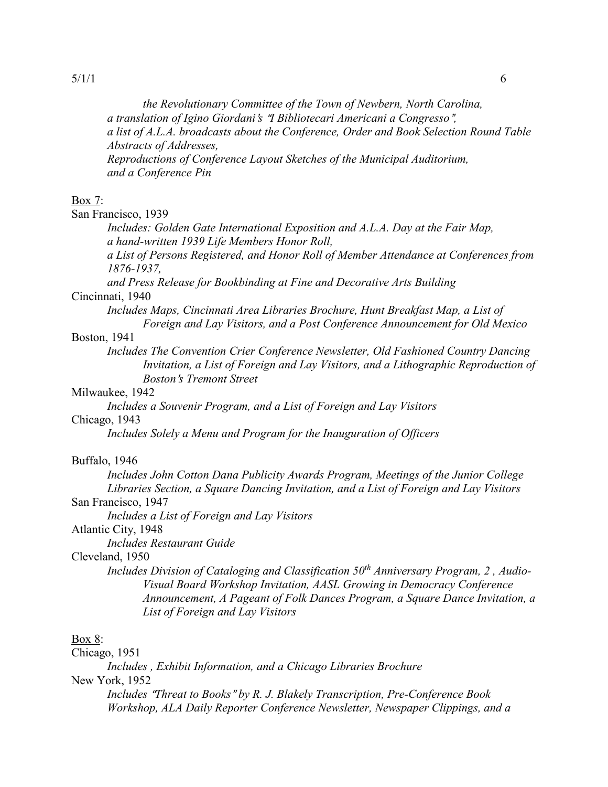*the Revolutionary Committee of the Town of Newbern, North Carolina, a translation of Igino Giordani*=*s* A*I Bibliotecari Americani a Congresso*@*, a list of A.L.A. broadcasts about the Conference, Order and Book Selection Round Table Abstracts of Addresses, Reproductions of Conference Layout Sketches of the Municipal Auditorium, and a Conference Pin*

### Box 7:

San Francisco, 1939

*Includes: Golden Gate International Exposition and A.L.A. Day at the Fair Map, a hand-written 1939 Life Members Honor Roll,*

*a List of Persons Registered, and Honor Roll of Member Attendance at Conferences from 1876-1937,*

*and Press Release for Bookbinding at Fine and Decorative Arts Building*

# Cincinnati, 1940

*Includes Maps, Cincinnati Area Libraries Brochure, Hunt Breakfast Map, a List of Foreign and Lay Visitors, and a Post Conference Announcement for Old Mexico*

#### Boston, 1941

*Includes The Convention Crier Conference Newsletter, Old Fashioned Country Dancing Invitation, a List of Foreign and Lay Visitors, and a Lithographic Reproduction of Boston*=*s Tremont Street*

### Milwaukee, 1942

*Includes a Souvenir Program, and a List of Foreign and Lay Visitors*

# Chicago, 1943

*Includes Solely a Menu and Program for the Inauguration of Officers*

#### Buffalo, 1946

*Includes John Cotton Dana Publicity Awards Program, Meetings of the Junior College Libraries Section, a Square Dancing Invitation, and a List of Foreign and Lay Visitors*

# San Francisco, 1947

*Includes a List of Foreign and Lay Visitors*

# Atlantic City, 1948

*Includes Restaurant Guide*

# Cleveland, 1950

Includes Division of Cataloging and Classification 50<sup>th</sup> Anniversary Program, 2, Audio-*Visual Board Workshop Invitation, AASL Growing in Democracy Conference Announcement, A Pageant of Folk Dances Program, a Square Dance Invitation, a List of Foreign and Lay Visitors*

# Box 8:

Chicago, 1951

*Includes , Exhibit Information, and a Chicago Libraries Brochure*

# New York, 1952

*Includes "Threat to Books" by R. J. Blakely Transcription, Pre-Conference Book Workshop, ALA Daily Reporter Conference Newsletter, Newspaper Clippings, and a*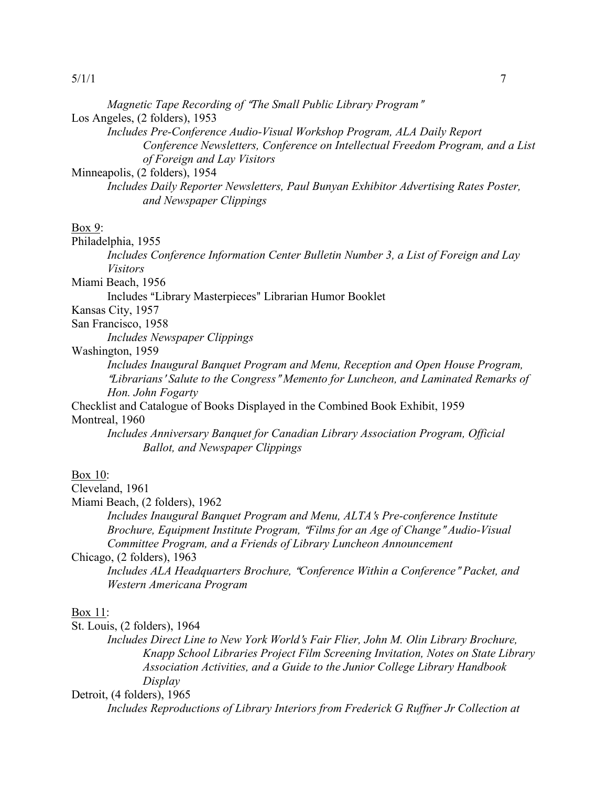|  | Magnetic Tape Recording of "The Small Public Library Program" |  |  |  |  |
|--|---------------------------------------------------------------|--|--|--|--|
|  |                                                               |  |  |  |  |

Los Angeles, (2 folders), 1953

*Includes Pre-Conference Audio-Visual Workshop Program, ALA Daily Report Conference Newsletters, Conference on Intellectual Freedom Program, and a List of Foreign and Lay Visitors*

Minneapolis, (2 folders), 1954

*Includes Daily Reporter Newsletters, Paul Bunyan Exhibitor Advertising Rates Poster, and Newspaper Clippings*

#### Box 9:

Philadelphia, 1955

*Includes Conference Information Center Bulletin Number 3, a List of Foreign and Lay Visitors*

Miami Beach, 1956

Includes "Library Masterpieces" Librarian Humor Booklet

Kansas City, 1957

San Francisco, 1958

*Includes Newspaper Clippings*

# Washington, 1959

*Includes Inaugural Banquet Program and Menu, Reception and Open House Program,*  <sup>A</sup>*Librarians*<sup>=</sup> *Salute to the Congress*@ *Memento for Luncheon, and Laminated Remarks of Hon. John Fogarty*

Checklist and Catalogue of Books Displayed in the Combined Book Exhibit, 1959 Montreal, 1960

*Includes Anniversary Banquet for Canadian Library Association Program, Official Ballot, and Newspaper Clippings*

### Box 10:

Cleveland, 1961

Miami Beach, (2 folders), 1962

*Includes Inaugural Banquet Program and Menu, ALTA*=*s Pre-conference Institute Brochure, Equipment Institute Program, "Films for an Age of Change" Audio-Visual Committee Program, and a Friends of Library Luncheon Announcement*

Chicago, (2 folders), 1963

*Includes ALA Headquarters Brochure, "Conference Within a Conference" Packet, and Western Americana Program*

### Box 11:

St. Louis, (2 folders), 1964

*Includes Direct Line to New York World*=*s Fair Flier, John M. Olin Library Brochure, Knapp School Libraries Project Film Screening Invitation, Notes on State Library Association Activities, and a Guide to the Junior College Library Handbook Display*

Detroit, (4 folders), 1965

*Includes Reproductions of Library Interiors from Frederick G Ruffner Jr Collection at*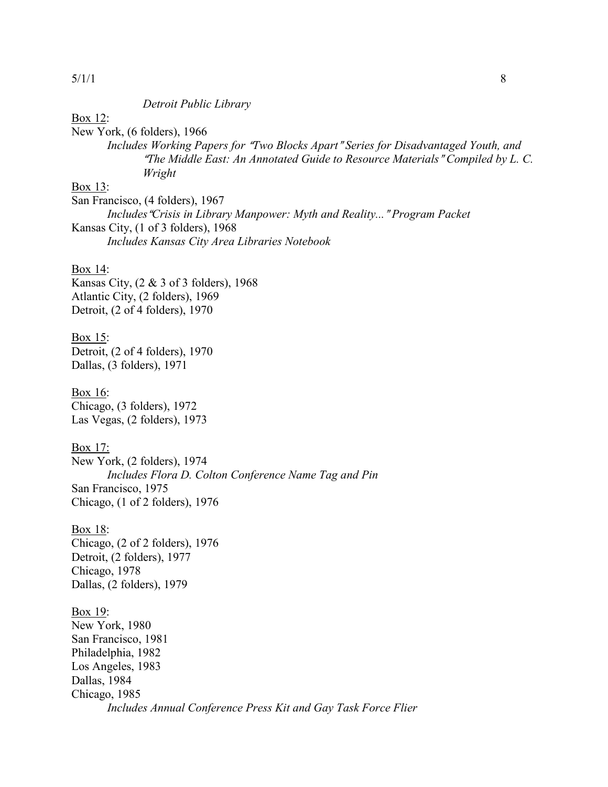#### *Detroit Public Library*

Box 12:

New York, (6 folders), 1966 *Includes Working Papers for "Two Blocks Apart" Series for Disadvantaged Youth, and <sup><i>The Middle East: An Annotated Guide to Resource Materials* "Compiled by L. C.</sup> *Wright*

Box 13:

San Francisco, (4 folders), 1967 *Includes* "Crisis in Library Manpower: Myth and Reality..." Program Packet Kansas City, (1 of 3 folders), 1968 *Includes Kansas City Area Libraries Notebook*

### Box 14:

Kansas City, (2 & 3 of 3 folders), 1968 Atlantic City, (2 folders), 1969 Detroit, (2 of 4 folders), 1970

Box 15: Detroit, (2 of 4 folders), 1970 Dallas, (3 folders), 1971

Box 16: Chicago, (3 folders), 1972 Las Vegas, (2 folders), 1973

Box 17: New York, (2 folders), 1974 *Includes Flora D. Colton Conference Name Tag and Pin* San Francisco, 1975 Chicago, (1 of 2 folders), 1976

Box 18: Chicago, (2 of 2 folders), 1976 Detroit, (2 folders), 1977 Chicago, 1978 Dallas, (2 folders), 1979

Box 19: New York, 1980 San Francisco, 1981 Philadelphia, 1982 Los Angeles, 1983 Dallas, 1984 Chicago, 1985 *Includes Annual Conference Press Kit and Gay Task Force Flier*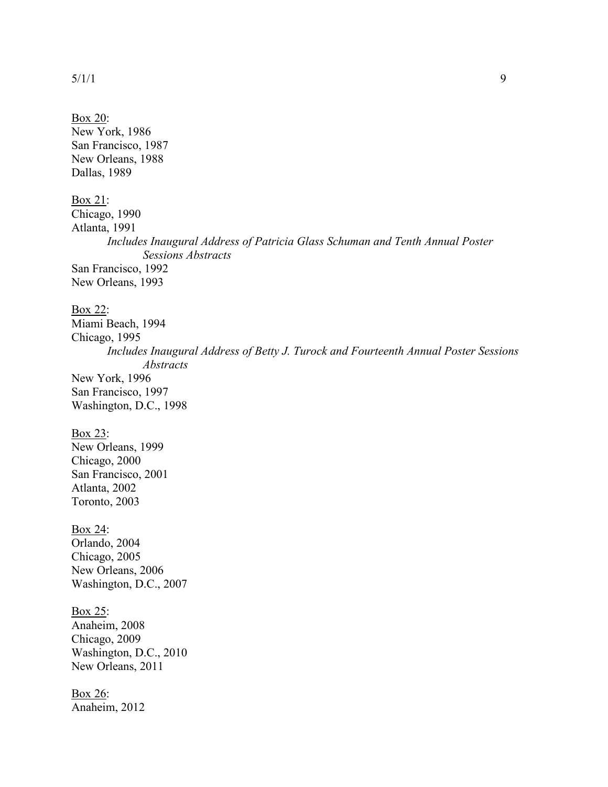| Box 20:<br>New York, 1986<br>San Francisco, 1987<br>New Orleans, 1988<br>Dallas, 1989                                                                                                                                       |
|-----------------------------------------------------------------------------------------------------------------------------------------------------------------------------------------------------------------------------|
| Box 21:<br>Chicago, 1990<br>Atlanta, 1991<br>Includes Inaugural Address of Patricia Glass Schuman and Tenth Annual Poster<br><b>Sessions Abstracts</b><br>San Francisco, 1992<br>New Orleans, 1993                          |
| Box 22:<br>Miami Beach, 1994<br>Chicago, 1995<br>Includes Inaugural Address of Betty J. Turock and Fourteenth Annual Poster Sessions<br><b>Abstracts</b><br>New York, 1996<br>San Francisco, 1997<br>Washington, D.C., 1998 |
| Box 23:<br>New Orleans, 1999<br>Chicago, 2000<br>San Francisco, 2001<br>Atlanta, 2002<br>Toronto, 2003                                                                                                                      |
| <u>Box 24:</u><br>Orlando, 2004<br>Chicago, 2005<br>New Orleans, 2006<br>Washington, D.C., 2007                                                                                                                             |
| Box 25:<br>Anaheim, 2008<br>Chicago, 2009<br>Washington, D.C., 2010<br>New Orleans, 2011                                                                                                                                    |
| Box 26:                                                                                                                                                                                                                     |

Anaheim, 2012

 $5/1/1$  9